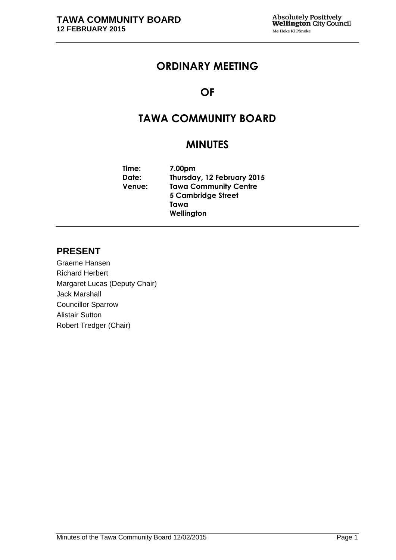# **ORDINARY MEETING**

# **OF**

# **TAWA COMMUNITY BOARD**

# **MINUTES**

**Time: 7.00pm Date: Thursday, 12 February 2015 Venue: Tawa Community Centre 5 Cambridge Street Tawa Wellington**

## **PRESENT**

Graeme Hansen Richard Herbert Margaret Lucas (Deputy Chair) Jack Marshall Councillor Sparrow Alistair Sutton Robert Tredger (Chair)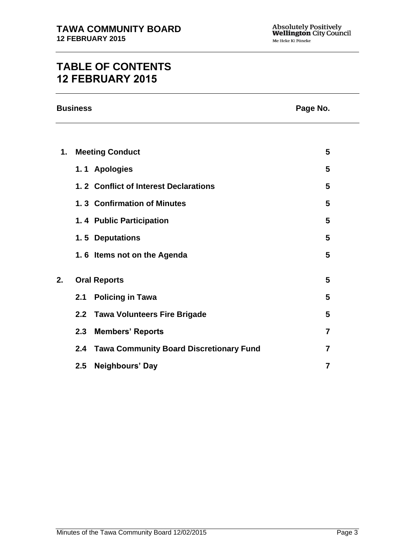# **TABLE OF CONTENTS 12 FEBRUARY 2015**

|    | <b>Business</b><br>Page No. |                                                |                |  |
|----|-----------------------------|------------------------------------------------|----------------|--|
|    |                             |                                                |                |  |
| 1. |                             | <b>Meeting Conduct</b>                         | 5              |  |
|    |                             | 1.1 Apologies                                  | 5              |  |
|    |                             | 1.2 Conflict of Interest Declarations          | 5              |  |
|    |                             | 1.3 Confirmation of Minutes                    | 5              |  |
|    |                             | 1.4 Public Participation                       | 5              |  |
|    |                             | 1.5 Deputations                                | 5              |  |
|    |                             | 1.6 Items not on the Agenda                    | 5              |  |
| 2. | <b>Oral Reports</b>         |                                                | 5              |  |
|    | 2.1                         | <b>Policing in Tawa</b>                        | 5              |  |
|    |                             | 2.2 Tawa Volunteers Fire Brigade               | 5              |  |
|    | 2.3                         | <b>Members' Reports</b>                        | 7              |  |
|    | 2.4                         | <b>Tawa Community Board Discretionary Fund</b> | $\overline{7}$ |  |
|    | 2.5                         | Neighbours' Day                                | $\overline{7}$ |  |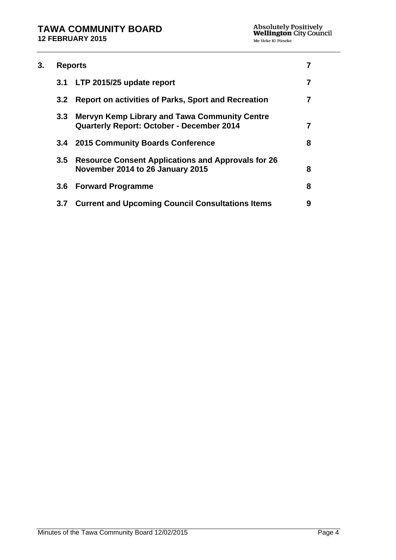| 3. | <b>Reports</b>   |                                                                                                          |   |
|----|------------------|----------------------------------------------------------------------------------------------------------|---|
|    | 3.1              | LTP 2015/25 update report                                                                                |   |
|    | 3.2              | <b>Report on activities of Parks, Sport and Recreation</b>                                               | 7 |
|    | $3.3 -$          | <b>Mervyn Kemp Library and Tawa Community Centre</b><br><b>Quarterly Report: October - December 2014</b> | 7 |
|    |                  | 3.4 2015 Community Boards Conference                                                                     | 8 |
|    | 3.5              | <b>Resource Consent Applications and Approvals for 26</b><br>November 2014 to 26 January 2015            | 8 |
|    | 3.6 <sub>1</sub> | <b>Forward Programme</b>                                                                                 | 8 |
|    | 3.7              | <b>Current and Upcoming Council Consultations Items</b>                                                  | 9 |
|    |                  |                                                                                                          |   |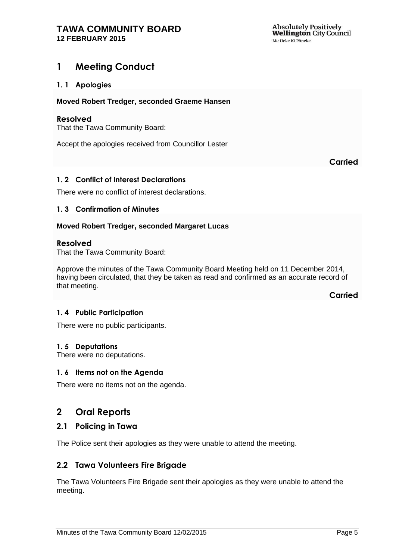## <span id="page-4-0"></span>**1 Meeting Conduct**

## <span id="page-4-1"></span>**1. 1 Apologies**

#### **Moved Robert Tredger, seconded Graeme Hansen**

#### **Resolved**

That the Tawa Community Board:

Accept the apologies received from Councillor Lester

**Carried**

## <span id="page-4-2"></span>**1. 2 Conflict of Interest Declarations**

There were no conflict of interest declarations.

#### <span id="page-4-3"></span>**1. 3 Confirmation of Minutes**

#### **Moved Robert Tredger, seconded Margaret Lucas**

#### **Resolved**

That the Tawa Community Board:

Approve the minutes of the Tawa Community Board Meeting held on 11 December 2014, having been circulated, that they be taken as read and confirmed as an accurate record of that meeting.

**Carried**

#### <span id="page-4-6"></span>**1. 4 Public Participation**

There were no public participants.

#### <span id="page-4-5"></span>**1. 5 Deputations**

There were no deputations.

#### <span id="page-4-4"></span>**1. 6 Items not on the Agenda**

There were no items not on the agenda.

## <span id="page-4-7"></span>**2 Oral Reports**

## **2.1 Policing in Tawa**

The Police sent their apologies as they were unable to attend the meeting.

## **2.2 Tawa Volunteers Fire Brigade**

The Tawa Volunteers Fire Brigade sent their apologies as they were unable to attend the meeting.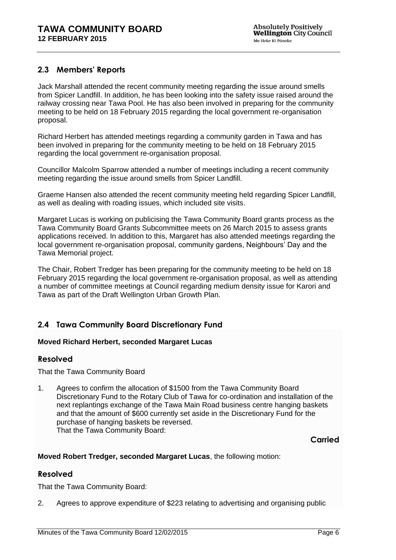## **2.3 Members' Reports**

Jack Marshall attended the recent community meeting regarding the issue around smells from Spicer Landfill. In addition, he has been looking into the safety issue raised around the railway crossing near Tawa Pool. He has also been involved in preparing for the community meeting to be held on 18 February 2015 regarding the local government re-organisation proposal.

Richard Herbert has attended meetings regarding a community garden in Tawa and has been involved in preparing for the community meeting to be held on 18 February 2015 regarding the local government re-organisation proposal.

Councillor Malcolm Sparrow attended a number of meetings including a recent community meeting regarding the issue around smells from Spicer Landfill.

Graeme Hansen also attended the recent community meeting held regarding Spicer Landfill, as well as dealing with roading issues, which included site visits.

Margaret Lucas is working on publicising the Tawa Community Board grants process as the Tawa Community Board Grants Subcommittee meets on 26 March 2015 to assess grants applications received. In addition to this, Margaret has also attended meetings regarding the local government re-organisation proposal, community gardens, Neighbours' Day and the Tawa Memorial project.

The Chair, Robert Tredger has been preparing for the community meeting to be held on 18 February 2015 regarding the local government re-organisation proposal, as well as attending a number of committee meetings at Council regarding medium density issue for Karori and Tawa as part of the Draft Wellington Urban Growth Plan.

## **2.4 Tawa Community Board Discretionary Fund**

## **Moved Richard Herbert, seconded Margaret Lucas**

## **Resolved**

That the Tawa Community Board

1. Agrees to confirm the allocation of \$1500 from the Tawa Community Board Discretionary Fund to the Rotary Club of Tawa for co-ordination and installation of the next replantings exchange of the Tawa Main Road business centre hanging baskets and that the amount of \$600 currently set aside in the Discretionary Fund for the purchase of hanging baskets be reversed. That the Tawa Community Board:

## **Carried**

## **Moved Robert Tredger, seconded Margaret Lucas**, the following motion:

## **Resolved**

That the Tawa Community Board:

2. Agrees to approve expenditure of \$223 relating to advertising and organising public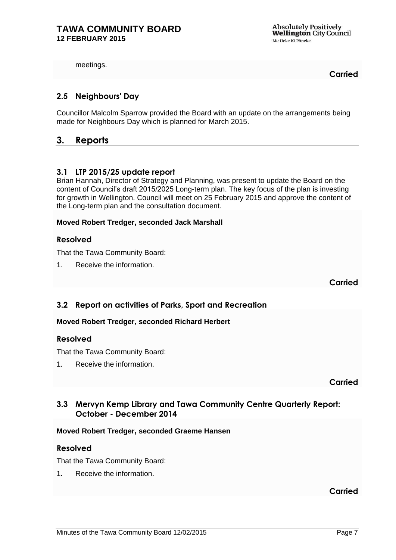**Absolutely Positively Wellington** City Council Me Heke Ki Põneke

meetings.

**Carried**

## **2.5 Neighbours' Day**

Councillor Malcolm Sparrow provided the Board with an update on the arrangements being made for Neighbours Day which is planned for March 2015.

## <span id="page-6-1"></span>**3. Reports**

## <span id="page-6-0"></span>**3.1 LTP 2015/25 update report**

Brian Hannah, Director of Strategy and Planning, was present to update the Board on the content of Council's draft 2015/2025 Long-term plan. The key focus of the plan is investing for growth in Wellington. Council will meet on 25 February 2015 and approve the content of the Long-term plan and the consultation document.

## **Moved Robert Tredger, seconded Jack Marshall**

## **Resolved**

That the Tawa Community Board:

1. Receive the information.

**Carried**

## <span id="page-6-2"></span>**3.2 Report on activities of Parks, Sport and Recreation**

## **Moved Robert Tredger, seconded Richard Herbert**

## **Resolved**

That the Tawa Community Board:

1. Receive the information.

**Carried**

## <span id="page-6-3"></span>**3.3 Mervyn Kemp Library and Tawa Community Centre Quarterly Report: October - December 2014**

## **Moved Robert Tredger, seconded Graeme Hansen**

## **Resolved**

That the Tawa Community Board:

1. Receive the information.

**Carried**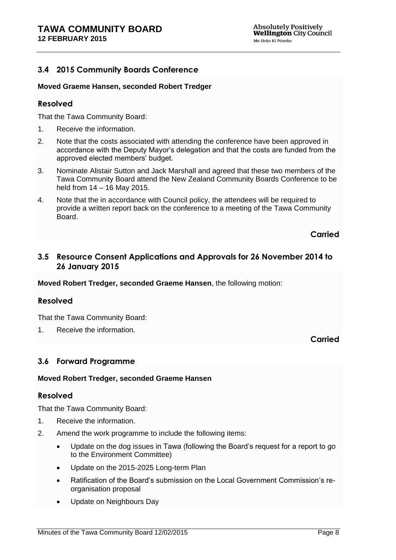## <span id="page-7-0"></span>**3.4 2015 Community Boards Conference**

## **Moved Graeme Hansen, seconded Robert Tredger**

## **Resolved**

That the Tawa Community Board:

- 1. Receive the information.
- 2. Note that the costs associated with attending the conference have been approved in accordance with the Deputy Mayor's delegation and that the costs are funded from the approved elected members' budget.
- 3. Nominate Alistair Sutton and Jack Marshall and agreed that these two members of the Tawa Community Board attend the New Zealand Community Boards Conference to be held from 14 – 16 May 2015.
- 4. Note that the in accordance with Council policy, the attendees will be required to provide a written report back on the conference to a meeting of the Tawa Community Board.

## **Carried**

## <span id="page-7-1"></span>**3.5 Resource Consent Applications and Approvals for 26 November 2014 to 26 January 2015**

**Moved Robert Tredger, seconded Graeme Hansen**, the following motion:

## **Resolved**

That the Tawa Community Board:

1. Receive the information.

## **Carried**

## <span id="page-7-2"></span>**3.6 Forward Programme**

## **Moved Robert Tredger, seconded Graeme Hansen**

## **Resolved**

That the Tawa Community Board:

- 1. Receive the information.
- 2. Amend the work programme to include the following items:
	- Update on the dog issues in Tawa (following the Board's request for a report to go to the Environment Committee)
	- Update on the 2015-2025 Long-term Plan
	- Ratification of the Board's submission on the Local Government Commission's reorganisation proposal
	- Update on Neighbours Day